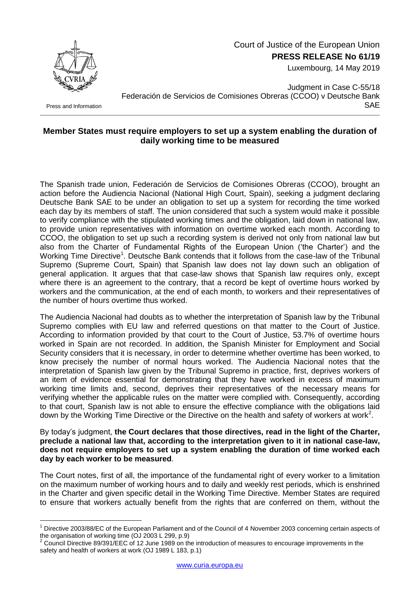

Court of Justice of the European Union

**PRESS RELEASE No 61/19**

Luxembourg, 14 May 2019

Press and Information

1

Judgment in Case C-55/18 Federación de Servicios de Comisiones Obreras (CCOO) v Deutsche Bank SAE

## **Member States must require employers to set up a system enabling the duration of daily working time to be measured**

The Spanish trade union, Federación de Servicios de Comisiones Obreras (CCOO), brought an action before the Audiencia Nacional (National High Court, Spain), seeking a judgment declaring Deutsche Bank SAE to be under an obligation to set up a system for recording the time worked each day by its members of staff. The union considered that such a system would make it possible to verify compliance with the stipulated working times and the obligation, laid down in national law, to provide union representatives with information on overtime worked each month. According to CCOO, the obligation to set up such a recording system is derived not only from national law but also from the Charter of Fundamental Rights of the European Union ('the Charter') and the Working Time Directive<sup>1</sup>. Deutsche Bank contends that it follows from the case-law of the Tribunal Supremo (Supreme Court, Spain) that Spanish law does not lay down such an obligation of general application. It argues that that case-law shows that Spanish law requires only, except where there is an agreement to the contrary, that a record be kept of overtime hours worked by workers and the communication, at the end of each month, to workers and their representatives of the number of hours overtime thus worked.

The Audiencia Nacional had doubts as to whether the interpretation of Spanish law by the Tribunal Supremo complies with EU law and referred questions on that matter to the Court of Justice. According to information provided by that court to the Court of Justice, 53.7% of overtime hours worked in Spain are not recorded. In addition, the Spanish Minister for Employment and Social Security considers that it is necessary, in order to determine whether overtime has been worked, to know precisely the number of normal hours worked. The Audiencia Nacional notes that the interpretation of Spanish law given by the Tribunal Supremo in practice, first, deprives workers of an item of evidence essential for demonstrating that they have worked in excess of maximum working time limits and, second, deprives their representatives of the necessary means for verifying whether the applicable rules on the matter were complied with. Consequently, according to that court, Spanish law is not able to ensure the effective compliance with the obligations laid down by the Working Time Directive or the Directive on the health and safety of workers at work<sup>2</sup>.

By today's judgment, **the Court declares that those directives, read in the light of the Charter, preclude a national law that, according to the interpretation given to it in national case-law, does not require employers to set up a system enabling the duration of time worked each day by each worker to be measured**.

The Court notes, first of all, the importance of the fundamental right of every worker to a limitation on the maximum number of working hours and to daily and weekly rest periods, which is enshrined in the Charter and given specific detail in the Working Time Directive. Member States are required to ensure that workers actually benefit from the rights that are conferred on them, without the

<sup>&</sup>lt;sup>1</sup> Directive 2003/88/EC of the European Parliament and of the Council of 4 November 2003 concerning certain aspects of the organisation of working time (OJ 2003 L 299, p.9)

<sup>2</sup> Council Directive 89/391/EEC of 12 June 1989 on the introduction of measures to encourage improvements in the safety and health of workers at work (OJ 1989 L 183, p.1)